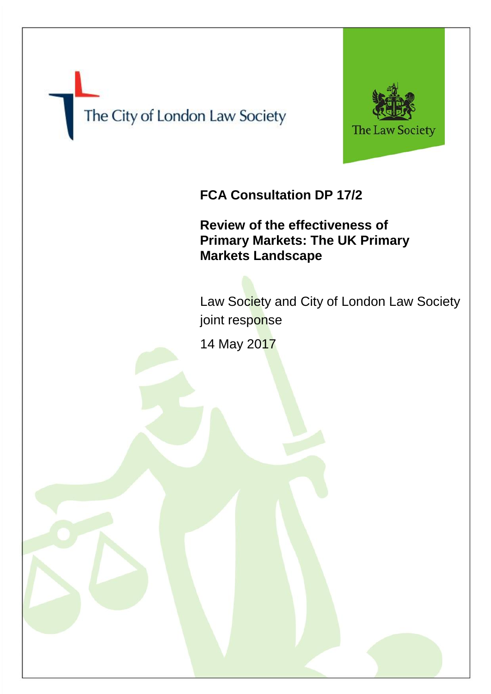



# **FCA Consultation DP 17/2**

**Review of the effectiveness of Primary Markets: The UK Primary Markets Landscape**

Law Society and City of London Law Society joint response

14 May 2017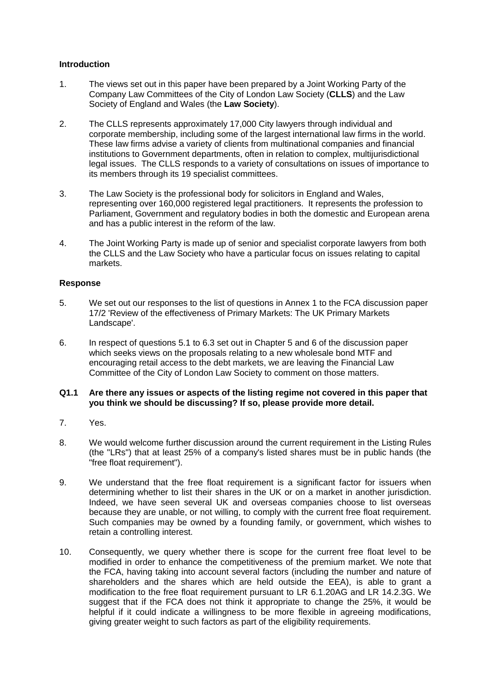# **Introduction**

- 1. The views set out in this paper have been prepared by a Joint Working Party of the Company Law Committees of the City of London Law Society (**CLLS**) and the Law Society of England and Wales (the **Law Society**).
- 2. The CLLS represents approximately 17,000 City lawyers through individual and corporate membership, including some of the largest international law firms in the world. These law firms advise a variety of clients from multinational companies and financial institutions to Government departments, often in relation to complex, multijurisdictional legal issues. The CLLS responds to a variety of consultations on issues of importance to its members through its 19 specialist committees.
- 3. The Law Society is the professional body for solicitors in England and Wales, representing over 160,000 registered legal practitioners. It represents the profession to Parliament, Government and regulatory bodies in both the domestic and European arena and has a public interest in the reform of the law.
- 4. The Joint Working Party is made up of senior and specialist corporate lawyers from both the CLLS and the Law Society who have a particular focus on issues relating to capital markets.

# **Response**

- 5. We set out our responses to the list of questions in Annex 1 to the FCA discussion paper 17/2 'Review of the effectiveness of Primary Markets: The UK Primary Markets Landscape'.
- 6. In respect of questions 5.1 to 6.3 set out in Chapter 5 and 6 of the discussion paper which seeks views on the proposals relating to a new wholesale bond MTF and encouraging retail access to the debt markets, we are leaving the Financial Law Committee of the City of London Law Society to comment on those matters.

## **Q1.1 Are there any issues or aspects of the listing regime not covered in this paper that you think we should be discussing? If so, please provide more detail.**

- 7. Yes.
- 8. We would welcome further discussion around the current requirement in the Listing Rules (the "LRs") that at least 25% of a company's listed shares must be in public hands (the "free float requirement").
- 9. We understand that the free float requirement is a significant factor for issuers when determining whether to list their shares in the UK or on a market in another jurisdiction. Indeed, we have seen several UK and overseas companies choose to list overseas because they are unable, or not willing, to comply with the current free float requirement. Such companies may be owned by a founding family, or government, which wishes to retain a controlling interest.
- 10. Consequently, we query whether there is scope for the current free float level to be modified in order to enhance the competitiveness of the premium market. We note that the FCA, having taking into account several factors (including the number and nature of shareholders and the shares which are held outside the EEA), is able to grant a modification to the free float requirement pursuant to LR 6.1.20AG and LR 14.2.3G. We suggest that if the FCA does not think it appropriate to change the 25%, it would be helpful if it could indicate a willingness to be more flexible in agreeing modifications, giving greater weight to such factors as part of the eligibility requirements.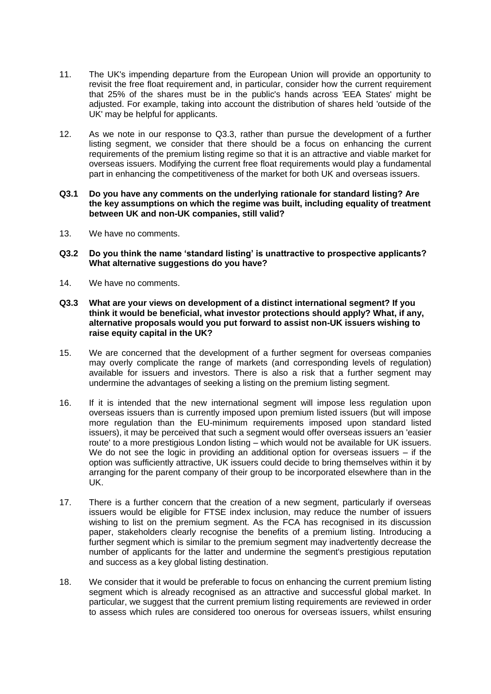- 11. The UK's impending departure from the European Union will provide an opportunity to revisit the free float requirement and, in particular, consider how the current requirement that 25% of the shares must be in the public's hands across 'EEA States' might be adjusted. For example, taking into account the distribution of shares held 'outside of the UK' may be helpful for applicants.
- 12. As we note in our response to Q3.3, rather than pursue the development of a further listing segment, we consider that there should be a focus on enhancing the current requirements of the premium listing regime so that it is an attractive and viable market for overseas issuers. Modifying the current free float requirements would play a fundamental part in enhancing the competitiveness of the market for both UK and overseas issuers.
- **Q3.1 Do you have any comments on the underlying rationale for standard listing? Are the key assumptions on which the regime was built, including equality of treatment between UK and non-UK companies, still valid?**
- 13. We have no comments.
- **Q3.2 Do you think the name 'standard listing' is unattractive to prospective applicants? What alternative suggestions do you have?**
- 14. We have no comments.
- **Q3.3 What are your views on development of a distinct international segment? If you think it would be beneficial, what investor protections should apply? What, if any, alternative proposals would you put forward to assist non-UK issuers wishing to raise equity capital in the UK?**
- 15. We are concerned that the development of a further segment for overseas companies may overly complicate the range of markets (and corresponding levels of regulation) available for issuers and investors. There is also a risk that a further segment may undermine the advantages of seeking a listing on the premium listing segment.
- 16. If it is intended that the new international segment will impose less regulation upon overseas issuers than is currently imposed upon premium listed issuers (but will impose more regulation than the EU-minimum requirements imposed upon standard listed issuers), it may be perceived that such a segment would offer overseas issuers an 'easier route' to a more prestigious London listing – which would not be available for UK issuers. We do not see the logic in providing an additional option for overseas issuers – if the option was sufficiently attractive, UK issuers could decide to bring themselves within it by arranging for the parent company of their group to be incorporated elsewhere than in the UK.
- 17. There is a further concern that the creation of a new segment, particularly if overseas issuers would be eligible for FTSE index inclusion, may reduce the number of issuers wishing to list on the premium segment. As the FCA has recognised in its discussion paper, stakeholders clearly recognise the benefits of a premium listing. Introducing a further segment which is similar to the premium segment may inadvertently decrease the number of applicants for the latter and undermine the segment's prestigious reputation and success as a key global listing destination.
- 18. We consider that it would be preferable to focus on enhancing the current premium listing segment which is already recognised as an attractive and successful global market. In particular, we suggest that the current premium listing requirements are reviewed in order to assess which rules are considered too onerous for overseas issuers, whilst ensuring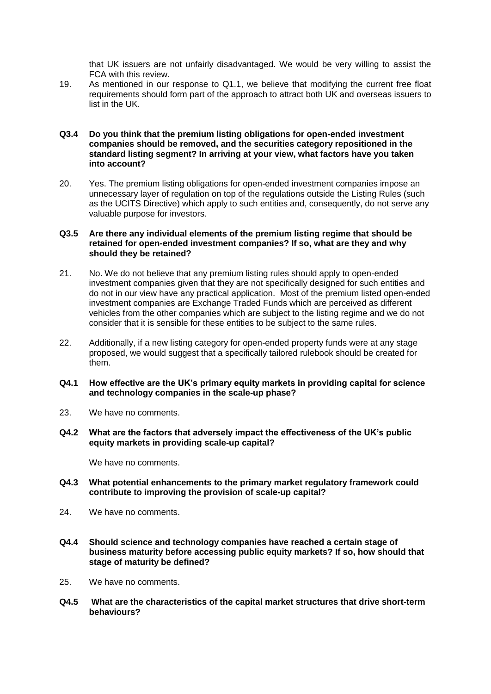that UK issuers are not unfairly disadvantaged. We would be very willing to assist the FCA with this review.

19. As mentioned in our response to Q1.1, we believe that modifying the current free float requirements should form part of the approach to attract both UK and overseas issuers to list in the UK.

#### **Q3.4 Do you think that the premium listing obligations for open-ended investment companies should be removed, and the securities category repositioned in the standard listing segment? In arriving at your view, what factors have you taken into account?**

20. Yes. The premium listing obligations for open-ended investment companies impose an unnecessary layer of regulation on top of the regulations outside the Listing Rules (such as the UCITS Directive) which apply to such entities and, consequently, do not serve any valuable purpose for investors.

### **Q3.5 Are there any individual elements of the premium listing regime that should be retained for open-ended investment companies? If so, what are they and why should they be retained?**

- 21. No. We do not believe that any premium listing rules should apply to open-ended investment companies given that they are not specifically designed for such entities and do not in our view have any practical application. Most of the premium listed open-ended investment companies are Exchange Traded Funds which are perceived as different vehicles from the other companies which are subject to the listing regime and we do not consider that it is sensible for these entities to be subject to the same rules.
- 22. Additionally, if a new listing category for open-ended property funds were at any stage proposed, we would suggest that a specifically tailored rulebook should be created for them.
- **Q4.1 How effective are the UK's primary equity markets in providing capital for science and technology companies in the scale-up phase?**
- 23. We have no comments.
- **Q4.2 What are the factors that adversely impact the effectiveness of the UK's public equity markets in providing scale-up capital?**

We have no comments.

- **Q4.3 What potential enhancements to the primary market regulatory framework could contribute to improving the provision of scale-up capital?**
- 24. We have no comments.
- **Q4.4 Should science and technology companies have reached a certain stage of business maturity before accessing public equity markets? If so, how should that stage of maturity be defined?**
- 25. We have no comments.
- **Q4.5 What are the characteristics of the capital market structures that drive short-term behaviours?**